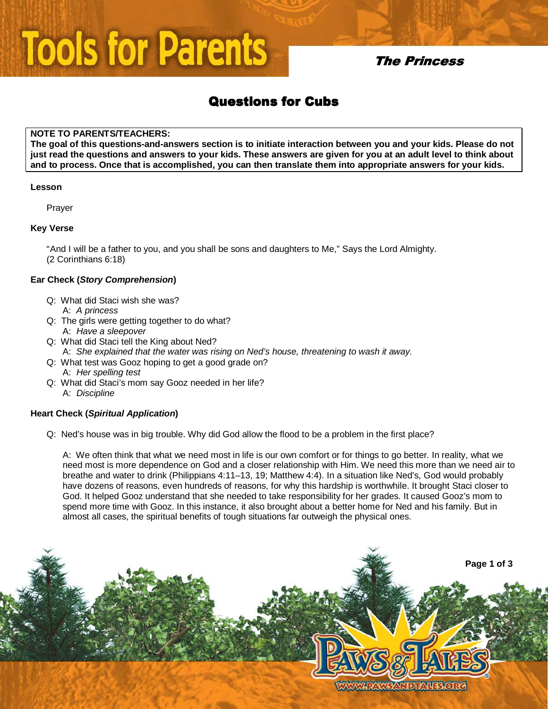# **Tools for Parents**

## **The Princess**

## **Questions for Cubs**

### **NOTE TO PARENTS/TEACHERS:**

**The goal of this questions-and-answers section is to initiate interaction between you and your kids. Please do not just read the questions and answers to your kids. These answers are given for you at an adult level to think about and to process. Once that is accomplished, you can then translate them into appropriate answers for your kids.** 

#### **Lesson**

Prayer

### **Key Verse**

"And I will be a father to you, and you shall be sons and daughters to Me," Says the Lord Almighty. (2 Corinthians 6:18)

### **Ear Check (Story Comprehension)**

- Q: What did Staci wish she was? A: A princess
- Q: The girls were getting together to do what? A: Have a sleepover
- Q: What did Staci tell the King about Ned? A: She explained that the water was rising on Ned's house, threatening to wash it away.
- Q: What test was Gooz hoping to get a good grade on? A: Her spelling test
- Q: What did Staci's mom say Gooz needed in her life? A: Discipline

### **Heart Check (Spiritual Application)**

Q: Ned's house was in big trouble. Why did God allow the flood to be a problem in the first place?

A: We often think that what we need most in life is our own comfort or for things to go better. In reality, what we need most is more dependence on God and a closer relationship with Him. We need this more than we need air to breathe and water to drink (Philippians 4:11–13, 19; Matthew 4:4). In a situation like Ned's, God would probably have dozens of reasons, even hundreds of reasons, for why this hardship is worthwhile. It brought Staci closer to God. It helped Gooz understand that she needed to take responsibility for her grades. It caused Gooz's mom to spend more time with Gooz. In this instance, it also brought about a better home for Ned and his family. But in almost all cases, the spiritual benefits of tough situations far outweigh the physical ones.

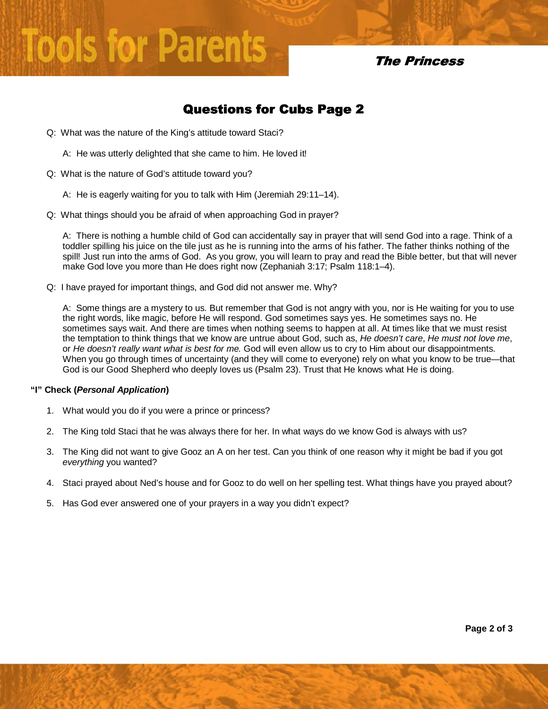# **Tools for Parents**

**The Princess** 

## **Questions for Cubs Page 2**

- Q: What was the nature of the King's attitude toward Staci?
	- A: He was utterly delighted that she came to him. He loved it!
- Q: What is the nature of God's attitude toward you?
	- A: He is eagerly waiting for you to talk with Him (Jeremiah 29:11–14).
- Q: What things should you be afraid of when approaching God in prayer?

A: There is nothing a humble child of God can accidentally say in prayer that will send God into a rage. Think of a toddler spilling his juice on the tile just as he is running into the arms of his father. The father thinks nothing of the spill! Just run into the arms of God. As you grow, you will learn to pray and read the Bible better, but that will never make God love you more than He does right now (Zephaniah 3:17; Psalm 118:1–4).

Q: I have prayed for important things, and God did not answer me. Why?

A: Some things are a mystery to us. But remember that God is not angry with you, nor is He waiting for you to use the right words, like magic, before He will respond. God sometimes says yes. He sometimes says no. He sometimes says wait. And there are times when nothing seems to happen at all. At times like that we must resist the temptation to think things that we know are untrue about God, such as, He doesn't care, He must not love me, or He doesn't really want what is best for me. God will even allow us to cry to Him about our disappointments. When you go through times of uncertainty (and they will come to everyone) rely on what you know to be true—that God is our Good Shepherd who deeply loves us (Psalm 23). Trust that He knows what He is doing.

#### **"I" Check (Personal Application)**

- 1. What would you do if you were a prince or princess?
- 2. The King told Staci that he was always there for her. In what ways do we know God is always with us?
- 3. The King did not want to give Gooz an A on her test. Can you think of one reason why it might be bad if you got everything you wanted?
- 4. Staci prayed about Ned's house and for Gooz to do well on her spelling test. What things have you prayed about?
- 5. Has God ever answered one of your prayers in a way you didn't expect?